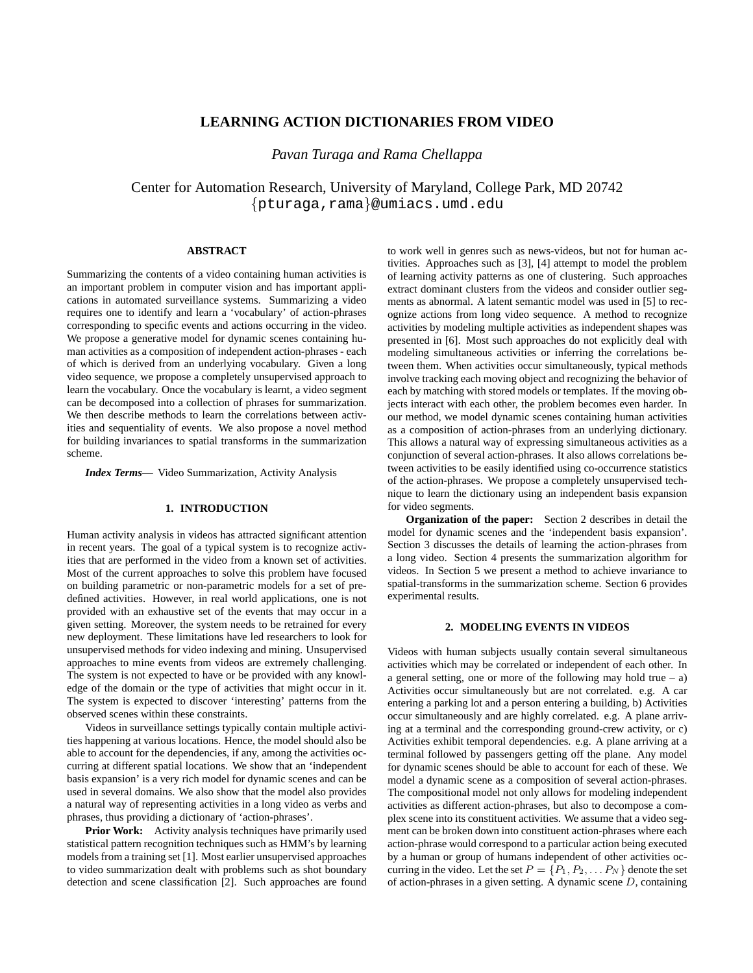# **LEARNING ACTION DICTIONARIES FROM VIDEO**

*Pavan Turaga and Rama Chellappa*

Center for Automation Research, University of Maryland, College Park, MD 20742 {pturaga,rama}@umiacs.umd.edu

# **ABSTRACT**

Summarizing the contents of a video containing human activities is an important problem in computer vision and has important applications in automated surveillance systems. Summarizing a video requires one to identify and learn a 'vocabulary' of action-phrases corresponding to specific events and actions occurring in the video. We propose a generative model for dynamic scenes containing human activities as a composition of independent action-phrases - each of which is derived from an underlying vocabulary. Given a long video sequence, we propose a completely unsupervised approach to learn the vocabulary. Once the vocabulary is learnt, a video segment can be decomposed into a collection of phrases for summarization. We then describe methods to learn the correlations between activities and sequentiality of events. We also propose a novel method for building invariances to spatial transforms in the summarization scheme.

*Index Terms***—** Video Summarization, Activity Analysis

### **1. INTRODUCTION**

Human activity analysis in videos has attracted significant attention in recent years. The goal of a typical system is to recognize activities that are performed in the video from a known set of activities. Most of the current approaches to solve this problem have focused on building parametric or non-parametric models for a set of predefined activities. However, in real world applications, one is not provided with an exhaustive set of the events that may occur in a given setting. Moreover, the system needs to be retrained for every new deployment. These limitations have led researchers to look for unsupervised methods for video indexing and mining. Unsupervised approaches to mine events from videos are extremely challenging. The system is not expected to have or be provided with any knowledge of the domain or the type of activities that might occur in it. The system is expected to discover 'interesting' patterns from the observed scenes within these constraints.

Videos in surveillance settings typically contain multiple activities happening at various locations. Hence, the model should also be able to account for the dependencies, if any, among the activities occurring at different spatial locations. We show that an 'independent basis expansion' is a very rich model for dynamic scenes and can be used in several domains. We also show that the model also provides a natural way of representing activities in a long video as verbs and phrases, thus providing a dictionary of 'action-phrases'.

**Prior Work:** Activity analysis techniques have primarily used statistical pattern recognition techniques such as HMM's by learning models from a training set [1]. Most earlier unsupervised approaches to video summarization dealt with problems such as shot boundary detection and scene classification [2]. Such approaches are found

to work well in genres such as news-videos, but not for human activities. Approaches such as [3], [4] attempt to model the problem of learning activity patterns as one of clustering. Such approaches extract dominant clusters from the videos and consider outlier segments as abnormal. A latent semantic model was used in [5] to recognize actions from long video sequence. A method to recognize activities by modeling multiple activities as independent shapes was presented in [6]. Most such approaches do not explicitly deal with modeling simultaneous activities or inferring the correlations between them. When activities occur simultaneously, typical methods involve tracking each moving object and recognizing the behavior of each by matching with stored models or templates. If the moving objects interact with each other, the problem becomes even harder. In our method, we model dynamic scenes containing human activities as a composition of action-phrases from an underlying dictionary. This allows a natural way of expressing simultaneous activities as a conjunction of several action-phrases. It also allows correlations between activities to be easily identified using co-occurrence statistics of the action-phrases. We propose a completely unsupervised technique to learn the dictionary using an independent basis expansion for video segments.

**Organization of the paper:** Section 2 describes in detail the model for dynamic scenes and the 'independent basis expansion'. Section 3 discusses the details of learning the action-phrases from a long video. Section 4 presents the summarization algorithm for videos. In Section 5 we present a method to achieve invariance to spatial-transforms in the summarization scheme. Section 6 provides experimental results.

# **2. MODELING EVENTS IN VIDEOS**

Videos with human subjects usually contain several simultaneous activities which may be correlated or independent of each other. In a general setting, one or more of the following may hold true  $-$  a) Activities occur simultaneously but are not correlated. e.g. A car entering a parking lot and a person entering a building, b) Activities occur simultaneously and are highly correlated. e.g. A plane arriving at a terminal and the corresponding ground-crew activity, or c) Activities exhibit temporal dependencies. e.g. A plane arriving at a terminal followed by passengers getting off the plane. Any model for dynamic scenes should be able to account for each of these. We model a dynamic scene as a composition of several action-phrases. The compositional model not only allows for modeling independent activities as different action-phrases, but also to decompose a complex scene into its constituent activities. We assume that a video segment can be broken down into constituent action-phrases where each action-phrase would correspond to a particular action being executed by a human or group of humans independent of other activities occurring in the video. Let the set  $P = \{P_1, P_2, \dots P_N\}$  denote the set of action-phrases in a given setting. A dynamic scene D, containing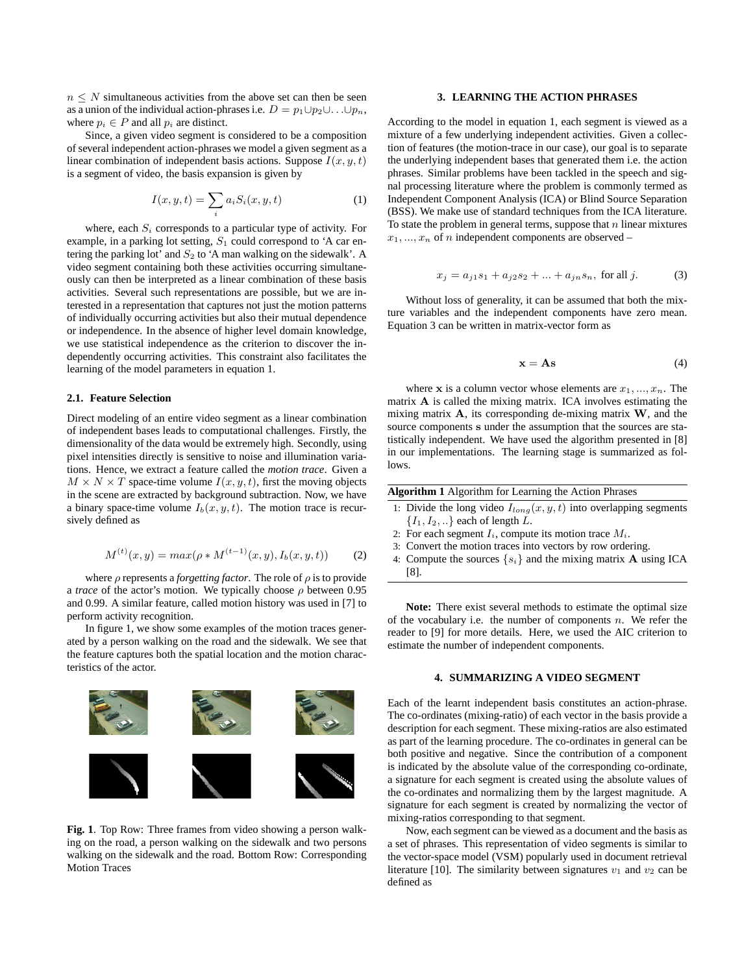$n \leq N$  simultaneous activities from the above set can then be seen as a union of the individual action-phrases i.e.  $D = p_1 \cup p_2 \cup \ldots \cup p_n$ , where  $p_i \in P$  and all  $p_i$  are distinct.

Since, a given video segment is considered to be a composition of several independent action-phrases we model a given segment as a linear combination of independent basis actions. Suppose  $I(x, y, t)$ is a segment of video, the basis expansion is given by

$$
I(x, y, t) = \sum_{i} a_i S_i(x, y, t)
$$
 (1)

where, each  $S_i$  corresponds to a particular type of activity. For example, in a parking lot setting,  $S_1$  could correspond to 'A car entering the parking lot' and  $S_2$  to 'A man walking on the sidewalk'. A video segment containing both these activities occurring simultaneously can then be interpreted as a linear combination of these basis activities. Several such representations are possible, but we are interested in a representation that captures not just the motion patterns of individually occurring activities but also their mutual dependence or independence. In the absence of higher level domain knowledge, we use statistical independence as the criterion to discover the independently occurring activities. This constraint also facilitates the learning of the model parameters in equation 1.

#### **2.1. Feature Selection**

Direct modeling of an entire video segment as a linear combination of independent bases leads to computational challenges. Firstly, the dimensionality of the data would be extremely high. Secondly, using pixel intensities directly is sensitive to noise and illumination variations. Hence, we extract a feature called the *motion trace*. Given a  $M \times N \times T$  space-time volume  $I(x, y, t)$ , first the moving objects in the scene are extracted by background subtraction. Now, we have a binary space-time volume  $I_b(x, y, t)$ . The motion trace is recursively defined as

$$
M^{(t)}(x,y) = max(\rho * M^{(t-1)}(x,y), I_b(x,y,t))
$$
 (2)

where  $\rho$  represents a *forgetting factor*. The role of  $\rho$  is to provide a *trace* of the actor's motion. We typically choose  $\rho$  between 0.95 and 0.99. A similar feature, called motion history was used in [7] to perform activity recognition.

In figure 1, we show some examples of the motion traces generated by a person walking on the road and the sidewalk. We see that the feature captures both the spatial location and the motion characteristics of the actor.



**Fig. 1**. Top Row: Three frames from video showing a person walking on the road, a person walking on the sidewalk and two persons walking on the sidewalk and the road. Bottom Row: Corresponding Motion Traces

#### **3. LEARNING THE ACTION PHRASES**

According to the model in equation 1, each segment is viewed as a mixture of a few underlying independent activities. Given a collection of features (the motion-trace in our case), our goal is to separate the underlying independent bases that generated them i.e. the action phrases. Similar problems have been tackled in the speech and signal processing literature where the problem is commonly termed as Independent Component Analysis (ICA) or Blind Source Separation (BSS). We make use of standard techniques from the ICA literature. To state the problem in general terms, suppose that  $n$  linear mixtures  $x_1, \ldots, x_n$  of n independent components are observed –

$$
x_j = a_{j1}s_1 + a_{j2}s_2 + \dots + a_{jn}s_n, \text{ for all } j. \tag{3}
$$

Without loss of generality, it can be assumed that both the mixture variables and the independent components have zero mean. Equation 3 can be written in matrix-vector form as

$$
\mathbf{x} = \mathbf{A}\mathbf{s} \tag{4}
$$

where **x** is a column vector whose elements are  $x_1, ..., x_n$ . The matrix A is called the mixing matrix. ICA involves estimating the mixing matrix  $A$ , its corresponding de-mixing matrix  $W$ , and the source components s under the assumption that the sources are statistically independent. We have used the algorithm presented in [8] in our implementations. The learning stage is summarized as follows.

| Algorithm 1 Algorithm for Learning the Action Phrases |  |  |  |  |
|-------------------------------------------------------|--|--|--|--|
|                                                       |  |  |  |  |

- 1: Divide the long video  $I_{long}(x, y, t)$  into overlapping segments  $\{I_1, I_2, ...\}$  each of length  $\overline{L}$ .
- 2: For each segment  $I_i$ , compute its motion trace  $M_i$ .
- 3: Convert the motion traces into vectors by row ordering.
- 4: Compute the sources  $\{s_i\}$  and the mixing matrix **A** using ICA [8].

**Note:** There exist several methods to estimate the optimal size of the vocabulary i.e. the number of components  $n$ . We refer the reader to [9] for more details. Here, we used the AIC criterion to estimate the number of independent components.

### **4. SUMMARIZING A VIDEO SEGMENT**

Each of the learnt independent basis constitutes an action-phrase. The co-ordinates (mixing-ratio) of each vector in the basis provide a description for each segment. These mixing-ratios are also estimated as part of the learning procedure. The co-ordinates in general can be both positive and negative. Since the contribution of a component is indicated by the absolute value of the corresponding co-ordinate, a signature for each segment is created using the absolute values of the co-ordinates and normalizing them by the largest magnitude. A signature for each segment is created by normalizing the vector of mixing-ratios corresponding to that segment.

Now, each segment can be viewed as a document and the basis as a set of phrases. This representation of video segments is similar to the vector-space model (VSM) popularly used in document retrieval literature [10]. The similarity between signatures  $v_1$  and  $v_2$  can be defined as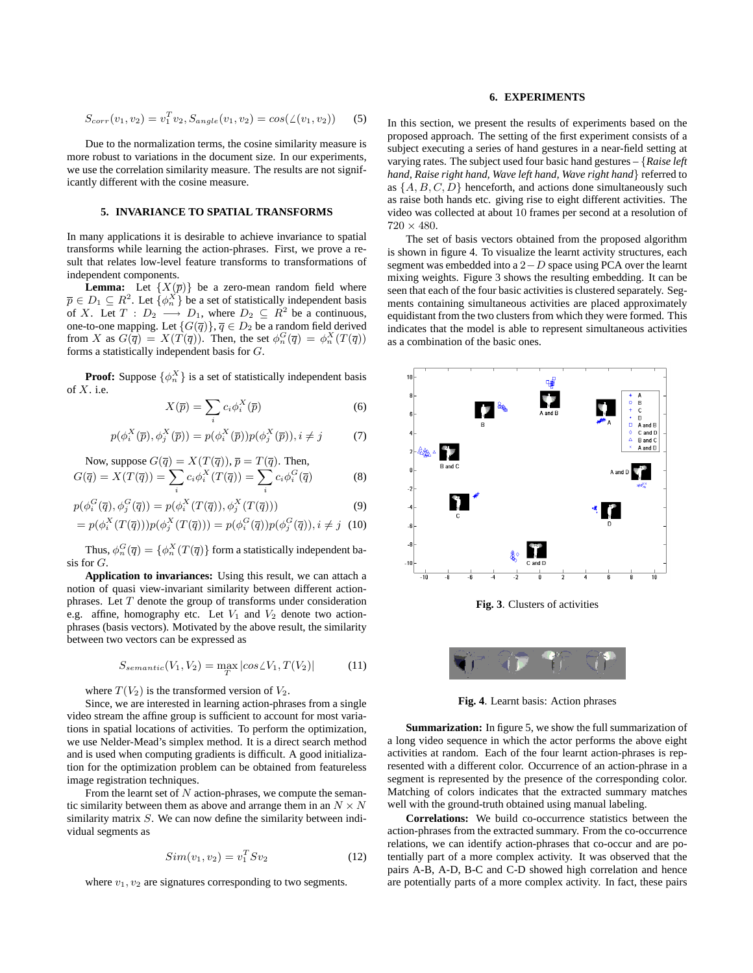$$
S_{corr}(v_1, v_2) = v_1^T v_2, S_{angle}(v_1, v_2) = \cos(\angle(v_1, v_2))
$$
 (5)

Due to the normalization terms, the cosine similarity measure is more robust to variations in the document size. In our experiments, we use the correlation similarity measure. The results are not significantly different with the cosine measure.

### **5. INVARIANCE TO SPATIAL TRANSFORMS**

In many applications it is desirable to achieve invariance to spatial transforms while learning the action-phrases. First, we prove a result that relates low-level feature transforms to transformations of independent components.

**Lemma:** Let  $\{X(\overline{p})\}$  be a zero-mean random field where  $\overline{p} \in D_1 \subseteq R^2$ . Let  $\{\phi_n^X\}$  be a set of statistically independent basis of X. Let  $T : D_2 \longrightarrow D_1$ , where  $D_2 \subseteq R^2$  be a continuous, one-to-one mapping. Let  $\{G(\overline{q})\}, \overline{q} \in D_2$  be a random field derived from X as  $G(\overline{q}) = X(T(\overline{q}))$ . Then, the set  $\phi_n^G(\overline{q}) = \phi_n^X(T(\overline{q}))$ forms a statistically independent basis for G.

**Proof:** Suppose  $\{\phi_n^X\}$  is a set of statistically independent basis of  $X$ . i.e.

$$
X(\overline{p}) = \sum_{i} c_i \phi_i^X(\overline{p})
$$
 (6)

$$
p(\phi_i^X(\overline{p}), \phi_j^X(\overline{p})) = p(\phi_i^X(\overline{p}))p(\phi_j^X(\overline{p})), i \neq j \tag{7}
$$

Now, suppose  $G(\overline{q}) = X(T(\overline{q})), \overline{p} = T(\overline{q}).$  Then,

$$
G(\overline{q}) = X(T(\overline{q})) = \sum_{i} c_i \phi_i^X(T(\overline{q})) = \sum_{i} c_i \phi_i^G(\overline{q})
$$
(8)

$$
p(\phi_i^G(\overline{q}), \phi_j^G(\overline{q})) = p(\phi_i^X(T(\overline{q})), \phi_j^X(T(\overline{q})))
$$
\n(9)

$$
= p(\phi_i^X(T(\overline{q}))) p(\phi_j^X(T(\overline{q}))) = p(\phi_i^G(\overline{q})) p(\phi_j^G(\overline{q})), i \neq j \quad (10)
$$

Thus,  $\phi_n^G(\overline{q}) = \{ \phi_n^X(T(\overline{q})) \}$  form a statistically independent basis for G.

**Application to invariances:** Using this result, we can attach a notion of quasi view-invariant similarity between different actionphrases. Let  $T$  denote the group of transforms under consideration e.g. affine, homography etc. Let  $V_1$  and  $V_2$  denote two actionphrases (basis vectors). Motivated by the above result, the similarity between two vectors can be expressed as

$$
S_{semantic}(V_1, V_2) = \max_{T} |cos\angle V_1, T(V_2)| \tag{11}
$$

where  $T(V_2)$  is the transformed version of  $V_2$ .

Since, we are interested in learning action-phrases from a single video stream the affine group is sufficient to account for most variations in spatial locations of activities. To perform the optimization, we use Nelder-Mead's simplex method. It is a direct search method and is used when computing gradients is difficult. A good initialization for the optimization problem can be obtained from featureless image registration techniques.

From the learnt set of  $N$  action-phrases, we compute the semantic similarity between them as above and arrange them in an  $N \times N$ similarity matrix S. We can now define the similarity between individual segments as

$$
Sim(v_1, v_2) = v_1^T S v_2 \tag{12}
$$

where  $v_1, v_2$  are signatures corresponding to two segments.

#### **6. EXPERIMENTS**

In this section, we present the results of experiments based on the proposed approach. The setting of the first experiment consists of a subject executing a series of hand gestures in a near-field setting at varying rates. The subject used four basic hand gestures – {*Raise left hand, Raise right hand, Wave left hand, Wave right hand*} referred to as  $\{A, B, C, D\}$  henceforth, and actions done simultaneously such as raise both hands etc. giving rise to eight different activities. The video was collected at about 10 frames per second at a resolution of  $720 \times 480.$ 

The set of basis vectors obtained from the proposed algorithm is shown in figure 4. To visualize the learnt activity structures, each segment was embedded into a 2−D space using PCA over the learnt mixing weights. Figure 3 shows the resulting embedding. It can be seen that each of the four basic activities is clustered separately. Segments containing simultaneous activities are placed approximately equidistant from the two clusters from which they were formed. This indicates that the model is able to represent simultaneous activities as a combination of the basic ones.



**Fig. 3**. Clusters of activities



**Fig. 4**. Learnt basis: Action phrases

**Summarization:** In figure 5, we show the full summarization of a long video sequence in which the actor performs the above eight activities at random. Each of the four learnt action-phrases is represented with a different color. Occurrence of an action-phrase in a segment is represented by the presence of the corresponding color. Matching of colors indicates that the extracted summary matches well with the ground-truth obtained using manual labeling.

**Correlations:** We build co-occurrence statistics between the action-phrases from the extracted summary. From the co-occurrence relations, we can identify action-phrases that co-occur and are potentially part of a more complex activity. It was observed that the pairs A-B, A-D, B-C and C-D showed high correlation and hence are potentially parts of a more complex activity. In fact, these pairs